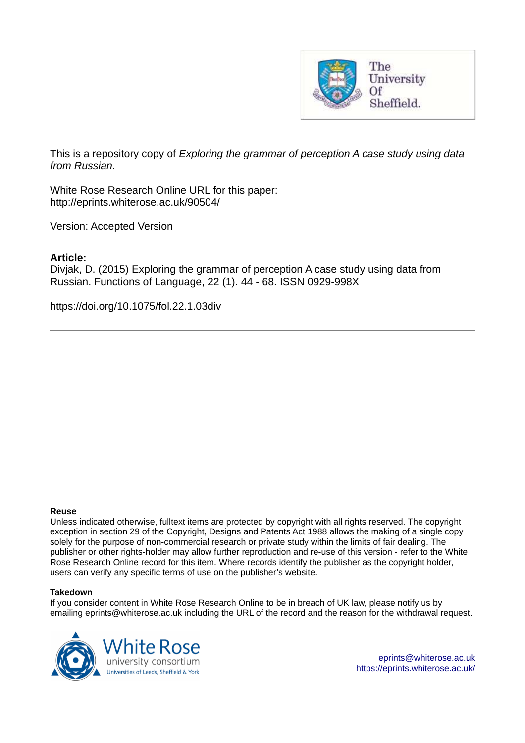

This is a repository copy of *Exploring the grammar of perception A case study using data from Russian*.

White Rose Research Online URL for this paper: http://eprints.whiterose.ac.uk/90504/

Version: Accepted Version

# **Article:**

Divjak, D. (2015) Exploring the grammar of perception A case study using data from Russian. Functions of Language, 22 (1). 44 - 68. ISSN 0929-998X

https://doi.org/10.1075/fol.22.1.03div

## **Reuse**

Unless indicated otherwise, fulltext items are protected by copyright with all rights reserved. The copyright exception in section 29 of the Copyright, Designs and Patents Act 1988 allows the making of a single copy solely for the purpose of non-commercial research or private study within the limits of fair dealing. The publisher or other rights-holder may allow further reproduction and re-use of this version - refer to the White Rose Research Online record for this item. Where records identify the publisher as the copyright holder, users can verify any specific terms of use on the publisher's website.

## **Takedown**

If you consider content in White Rose Research Online to be in breach of UK law, please notify us by emailing eprints@whiterose.ac.uk including the URL of the record and the reason for the withdrawal request.

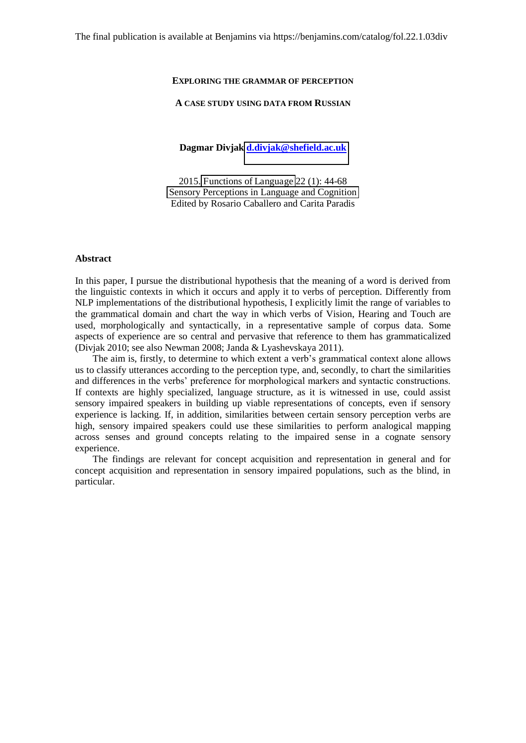## **EXPLORING THE GRAMMAR OF PERCEPTION**

#### **A CASE STUDY USING DATA FROM RUSSIAN**

**Dagmar Divjak [d.divjak@shefield.ac.uk](mailto:d.divjak@shefield.ac.uk)**

2015. [Functions of Language](https://benjamins.com/#catalog/journals/fol) 22 (1): 44-68 [Sensory Perceptions in Language and Cognition](https://benjamins.com/#catalog/journals/fol.22.1)  Edited by Rosario Caballero and Carita Paradis

## **Abstract**

In this paper, I pursue the distributional hypothesis that the meaning of a word is derived from the linguistic contexts in which it occurs and apply it to verbs of perception. Differently from NLP implementations of the distributional hypothesis, I explicitly limit the range of variables to the grammatical domain and chart the way in which verbs of Vision, Hearing and Touch are used, morphologically and syntactically, in a representative sample of corpus data. Some aspects of experience are so central and pervasive that reference to them has grammaticalized (Divjak 2010; see also Newman 2008; Janda & Lyashevskaya 2011).

The aim is, firstly, to determine to which extent a verb's grammatical context alone allows us to classify utterances according to the perception type, and, secondly, to chart the similarities and differences in the verbs' preference for morphological markers and syntactic constructions. If contexts are highly specialized, language structure, as it is witnessed in use, could assist sensory impaired speakers in building up viable representations of concepts, even if sensory experience is lacking. If, in addition, similarities between certain sensory perception verbs are high, sensory impaired speakers could use these similarities to perform analogical mapping across senses and ground concepts relating to the impaired sense in a cognate sensory experience.

The findings are relevant for concept acquisition and representation in general and for concept acquisition and representation in sensory impaired populations, such as the blind, in particular.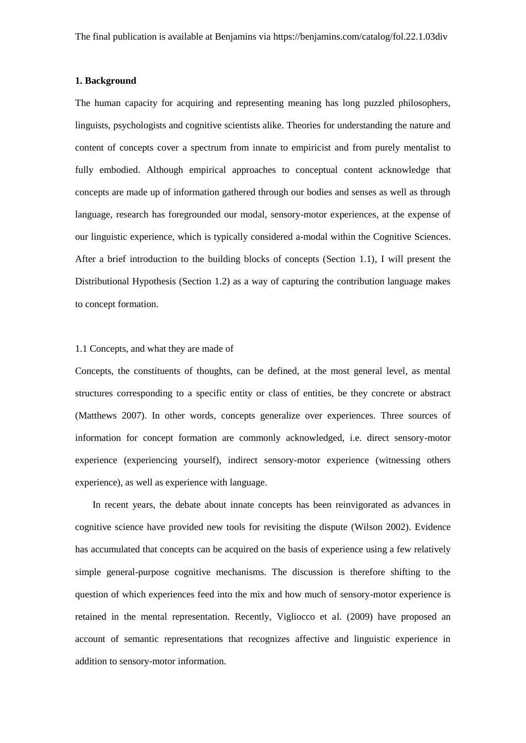### **1. Background**

The human capacity for acquiring and representing meaning has long puzzled philosophers, linguists, psychologists and cognitive scientists alike. Theories for understanding the nature and content of concepts cover a spectrum from innate to empiricist and from purely mentalist to fully embodied. Although empirical approaches to conceptual content acknowledge that concepts are made up of information gathered through our bodies and senses as well as through language, research has foregrounded our modal, sensory-motor experiences, at the expense of our linguistic experience, which is typically considered a-modal within the Cognitive Sciences. After a brief introduction to the building blocks of concepts (Section 1.1), I will present the Distributional Hypothesis (Section 1.2) as a way of capturing the contribution language makes to concept formation.

## 1.1 Concepts, and what they are made of

Concepts, the constituents of thoughts, can be defined, at the most general level, as mental structures corresponding to a specific entity or class of entities, be they concrete or abstract (Matthews 2007). In other words, concepts generalize over experiences. Three sources of information for concept formation are commonly acknowledged, i.e. direct sensory-motor experience (experiencing yourself), indirect sensory-motor experience (witnessing others experience), as well as experience with language.

In recent years, the debate about innate concepts has been reinvigorated as advances in cognitive science have provided new tools for revisiting the dispute (Wilson 2002). Evidence has accumulated that concepts can be acquired on the basis of experience using a few relatively simple general-purpose cognitive mechanisms. The discussion is therefore shifting to the question of which experiences feed into the mix and how much of sensory-motor experience is retained in the mental representation. Recently, Vigliocco et al. (2009) have proposed an account of semantic representations that recognizes affective and linguistic experience in addition to sensory-motor information.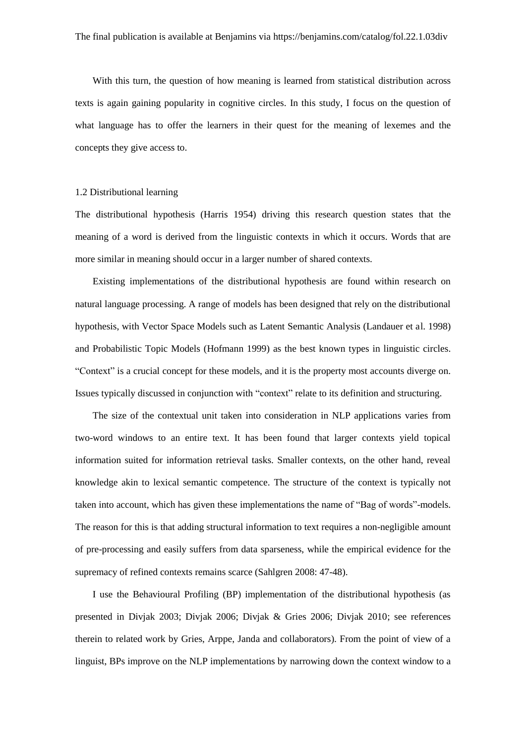With this turn, the question of how meaning is learned from statistical distribution across texts is again gaining popularity in cognitive circles. In this study, I focus on the question of what language has to offer the learners in their quest for the meaning of lexemes and the concepts they give access to.

### 1.2 Distributional learning

The distributional hypothesis (Harris 1954) driving this research question states that the meaning of a word is derived from the linguistic contexts in which it occurs. Words that are more similar in meaning should occur in a larger number of shared contexts.

Existing implementations of the distributional hypothesis are found within research on natural language processing. A range of models has been designed that rely on the distributional hypothesis, with Vector Space Models such as Latent Semantic Analysis (Landauer et al. 1998) and Probabilistic Topic Models (Hofmann 1999) as the best known types in linguistic circles. "Context" is a crucial concept for these models, and it is the property most accounts diverge on. Issues typically discussed in conjunction with "context" relate to its definition and structuring.

The size of the contextual unit taken into consideration in NLP applications varies from two-word windows to an entire text. It has been found that larger contexts yield topical information suited for information retrieval tasks. Smaller contexts, on the other hand, reveal knowledge akin to lexical semantic competence. The structure of the context is typically not taken into account, which has given these implementations the name of "Bag of words"-models. The reason for this is that adding structural information to text requires a non-negligible amount of pre-processing and easily suffers from data sparseness, while the empirical evidence for the supremacy of refined contexts remains scarce (Sahlgren 2008: 47-48).

I use the Behavioural Profiling (BP) implementation of the distributional hypothesis (as presented in Divjak 2003; Divjak 2006; Divjak & Gries 2006; Divjak 2010; see references therein to related work by Gries, Arppe, Janda and collaborators). From the point of view of a linguist, BPs improve on the NLP implementations by narrowing down the context window to a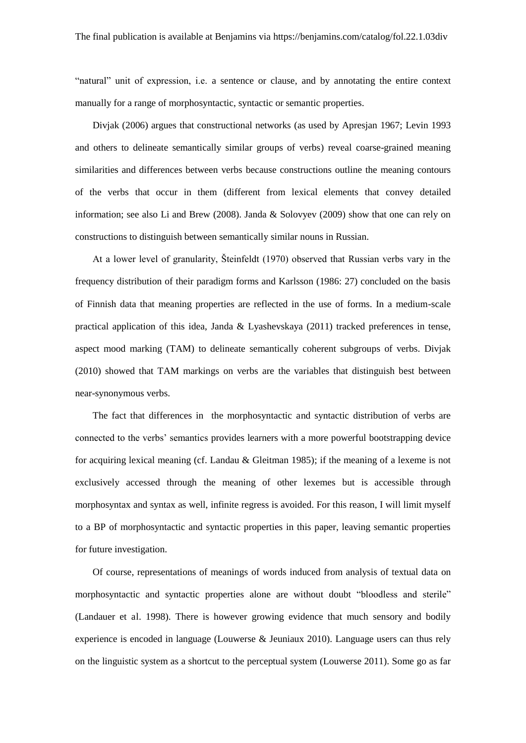"natural" unit of expression, i.e. a sentence or clause, and by annotating the entire context manually for a range of morphosyntactic, syntactic or semantic properties.

Divjak (2006) argues that constructional networks (as used by Apresjan 1967; Levin 1993 and others to delineate semantically similar groups of verbs) reveal coarse-grained meaning similarities and differences between verbs because constructions outline the meaning contours of the verbs that occur in them (different from lexical elements that convey detailed information; see also Li and Brew (2008). Janda & Solovyev (2009) show that one can rely on constructions to distinguish between semantically similar nouns in Russian.

At a lower level of granularity, Šteinfeldt (1970) observed that Russian verbs vary in the frequency distribution of their paradigm forms and Karlsson (1986: 27) concluded on the basis of Finnish data that meaning properties are reflected in the use of forms. In a medium-scale practical application of this idea, Janda & Lyashevskaya (2011) tracked preferences in tense, aspect mood marking (TAM) to delineate semantically coherent subgroups of verbs. Divjak (2010) showed that TAM markings on verbs are the variables that distinguish best between near-synonymous verbs.

The fact that differences in the morphosyntactic and syntactic distribution of verbs are connected to the verbs' semantics provides learners with a more powerful bootstrapping device for acquiring lexical meaning (cf. Landau & Gleitman 1985); if the meaning of a lexeme is not exclusively accessed through the meaning of other lexemes but is accessible through morphosyntax and syntax as well, infinite regress is avoided. For this reason, I will limit myself to a BP of morphosyntactic and syntactic properties in this paper, leaving semantic properties for future investigation.

Of course, representations of meanings of words induced from analysis of textual data on morphosyntactic and syntactic properties alone are without doubt "bloodless and sterile" (Landauer et al. 1998). There is however growing evidence that much sensory and bodily experience is encoded in language (Louwerse & Jeuniaux 2010). Language users can thus rely on the linguistic system as a shortcut to the perceptual system (Louwerse 2011). Some go as far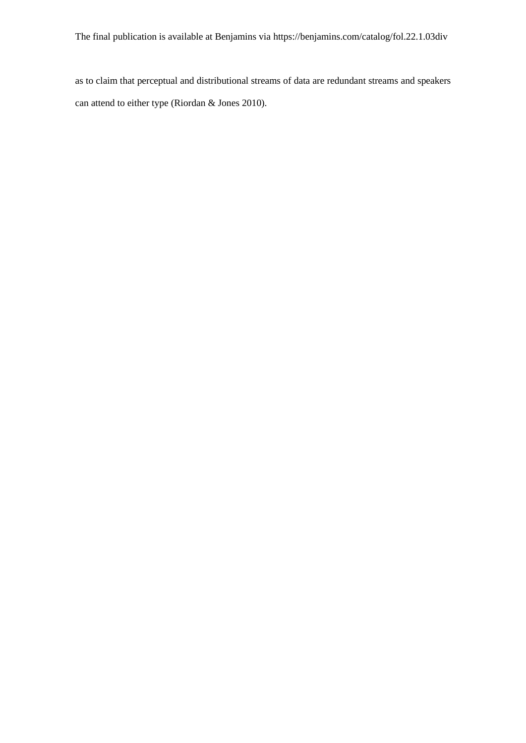as to claim that perceptual and distributional streams of data are redundant streams and speakers can attend to either type (Riordan & Jones 2010).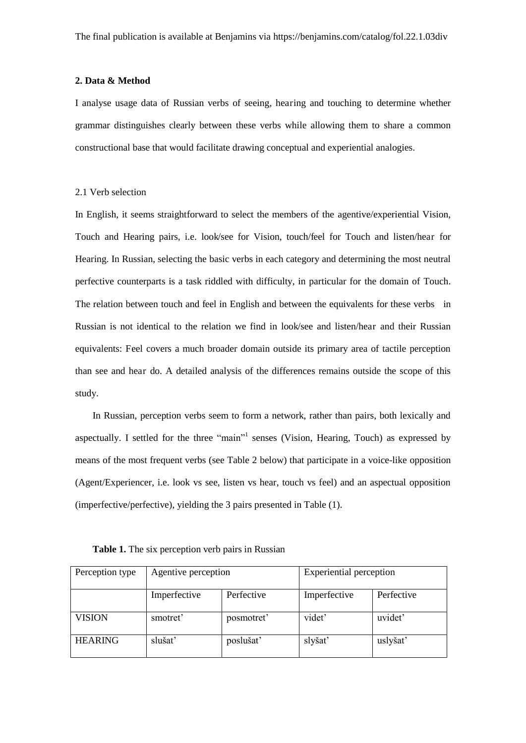#### **2. Data & Method**

I analyse usage data of Russian verbs of seeing, hearing and touching to determine whether grammar distinguishes clearly between these verbs while allowing them to share a common constructional base that would facilitate drawing conceptual and experiential analogies.

#### 2.1 Verb selection

In English, it seems straightforward to select the members of the agentive/experiential Vision, Touch and Hearing pairs, i.e. look/see for Vision, touch/feel for Touch and listen/hear for Hearing. In Russian, selecting the basic verbs in each category and determining the most neutral perfective counterparts is a task riddled with difficulty, in particular for the domain of Touch. The relation between touch and feel in English and between the equivalents for these verbs in Russian is not identical to the relation we find in look/see and listen/hear and their Russian equivalents: Feel covers a much broader domain outside its primary area of tactile perception than see and hear do. A detailed analysis of the differences remains outside the scope of this study.

In Russian, perception verbs seem to form a network, rather than pairs, both lexically and aspectually. I settled for the three "main"<sup>1</sup> senses (Vision, Hearing, Touch) as expressed by means of the most frequent verbs (see Table 2 below) that participate in a voice-like opposition (Agent/Experiencer, i.e. look vs see, listen vs hear, touch vs feel) and an aspectual opposition (imperfective/perfective), yielding the 3 pairs presented in Table (1).

| Perception type | Agentive perception |            | Experiential perception |            |
|-----------------|---------------------|------------|-------------------------|------------|
|                 | Imperfective        | Perfective | Imperfective            | Perfective |
| <b>VISION</b>   | smotret'            | posmotret' | videt'                  | uvidet'    |
| <b>HEARING</b>  | slušať              | poslušať   | slyšať                  | uslyšať    |

**Table 1.** The six perception verb pairs in Russian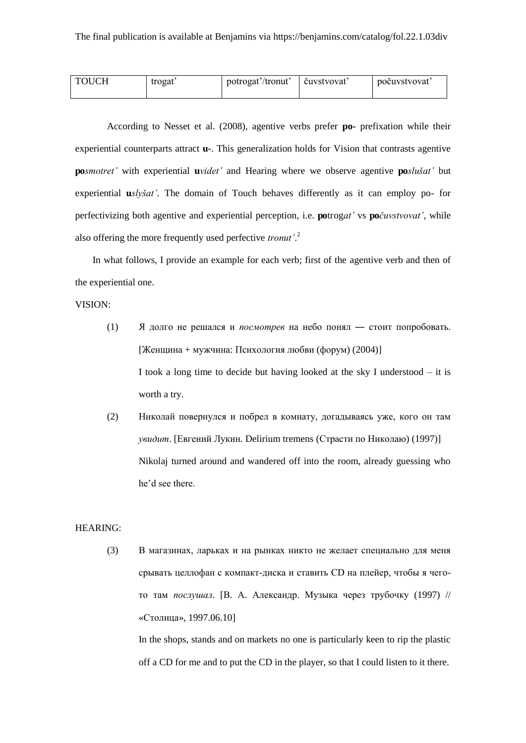| <b>TOUCH</b><br>trogat | potrogat//tronut | čuvstvovat | počuvstvovat |
|------------------------|------------------|------------|--------------|
|------------------------|------------------|------------|--------------|

According to Nesset et al. (2008), agentive verbs prefer po- prefixation while their experiential counterparts attract **u**-. This generalization holds for Vision that contrasts agentive **posmotret'** with experiential **u**videt' and Hearing where we observe agentive **poslušat'** but experiential  $\mathbf{u} s/v \check{s}at'$ . The domain of Touch behaves differently as it can employ po- for perfectivizing both agentive and experiential perception, i.e. potrogat' vs počuvstvovat', while also offering the more frequently used perfective *tronut*.<sup>2</sup>

In what follows, I provide an example for each verb; first of the agentive verb and then of the experiential one.

## VISION:

Я долго не решался и *посмотрев* на небо понял — стоит попробовать.  $(1)$ [Женщина + мужчина: Психология любви (форум) (2004)] I took a long time to decide but having looked at the sky I understood  $-$  it is

worth a try.

Николай повернулся и побрел в комнату, догадываясь уже, кого он там  $(2)$ увидит. [Евгений Лукин. Delirium tremens (Страсти по Николаю) (1997)] Nikolaj turned around and wandered off into the room, already guessing who he'd see there.

## **HEARING:**

 $(3)$ В магазинах, ларьках и на рынках никто не желает специально для меня срывать целлофан с компакт-диска и ставить CD на плейер, чтобы я чегото там послушал. [В. А. Александр. Музыка через трубочку (1997) // «Столица», 1997.06.10]

In the shops, stands and on markets no one is particularly keen to rip the plastic off a CD for me and to put the CD in the player, so that I could listen to it there.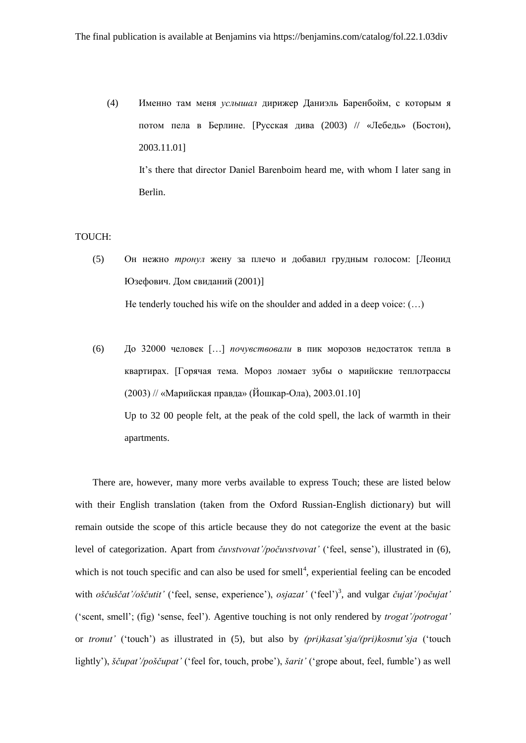$(4)$ Именно там меня услышал дирижер Даниэль Баренбойм, с которым я потом пела в Берлине. [Русская дива (2003) // «Лебедь» (Бостон), 2003.11.01] It's there that director Daniel Barenboim heard me, with whom I later sang in Berlin.

## TOUCH:

- Он нежно тронул жену за плечо и добавил грудным голосом: [Леонид  $(5)$ Юзефович. Дом свиданий (2001)] He tenderly touched his wife on the shoulder and added in a deep voice:  $(...)$
- $(6)$ До 32000 человек [...] почувствовали в пик морозов недостаток тепла в квартирах. [Горячая тема. Мороз ломает зубы о марийские теплотрассы (2003) // «Марийская правда» (Йошкар-Ола), 2003.01.10] Up to 32 00 people felt, at the peak of the cold spell, the lack of warmth in their apartments.

There are, however, many more verbs available to express Touch; these are listed below with their English translation (taken from the Oxford Russian-English dictionary) but will remain outside the scope of this article because they do not categorize the event at the basic level of categorization. Apart from *čuvstvovat* '/počuvstvovat' ('feel, sense'), illustrated in (6), which is not touch specific and can also be used for smell<sup>4</sup>, experiential feeling can be encoded with *oščuščat'/oščutit'* ('feel, sense, experience'), *osjazat'* ('feel')<sup>3</sup>, and vulgar *čujat'/počujat'* ('scent, smell'; (fig) 'sense, feel'). Agentive touching is not only rendered by *trogat'/potrogat'* or tronut' ('touch') as illustrated in (5), but also by (pri)kasat'sja/(pri)kosnut'sja ('touch lightly'), ščupat'/poščupat' ('feel for, touch, probe'), šarit' ('grope about, feel, fumble') as well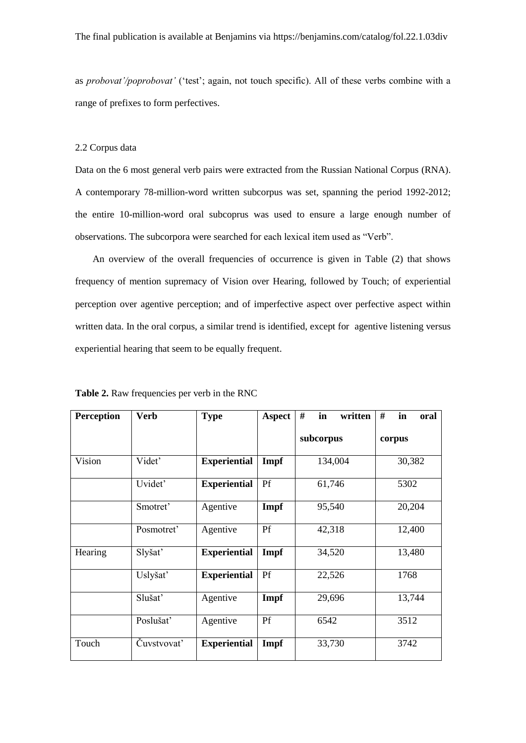as probovat'/poprobovat' ('test'; again, not touch specific). All of these verbs combine with a range of prefixes to form perfectives.

## 2.2 Corpus data

Data on the 6 most general verb pairs were extracted from the Russian National Corpus (RNA). A contemporary 78-million-word written subcorpus was set, spanning the period 1992-2012; the entire 10-million-word oral subcoprus was used to ensure a large enough number of observations. The subcorpora were searched for each lexical item used as "Verb".

An overview of the overall frequencies of occurrence is given in Table (2) that shows frequency of mention supremacy of Vision over Hearing, followed by Touch; of experiential perception over agentive perception; and of imperfective aspect over perfective aspect within written data. In the oral corpus, a similar trend is identified, except for agentive listening versus experiential hearing that seem to be equally frequent.

| <b>Perception</b> | Verb       | <b>Type</b>         | <b>Aspect</b> | #<br>in<br>written | #<br>in<br>oral |
|-------------------|------------|---------------------|---------------|--------------------|-----------------|
|                   |            |                     |               | subcorpus          | corpus          |
| Vision            | Videt'     | <b>Experiential</b> | Impf          | 134,004            | 30,382          |
|                   | Uvidet'    | <b>Experiential</b> | Pf            | 61,746             | 5302            |
|                   | Smotret'   | Agentive            | Impf          | 95,540             | 20,204          |
|                   | Posmotret' | Agentive            | Pf            | 42,318             | 12,400          |
| Hearing           | Slyšat'    | <b>Experiential</b> | Impf          | 34,520             | 13,480          |
|                   | Uslyšať    | <b>Experiential</b> | Pf            | 22,526             | 1768            |
|                   | Slušat'    | Agentive            | Impf          | 29,696             | 13,744          |
|                   | Poslušať   | Agentive            | Pf            | 6542               | 3512            |
| Touch             | Čuvstvovať | <b>Experiential</b> | Impf          | 33,730             | 3742            |

Table 2. Raw frequencies per verb in the RNC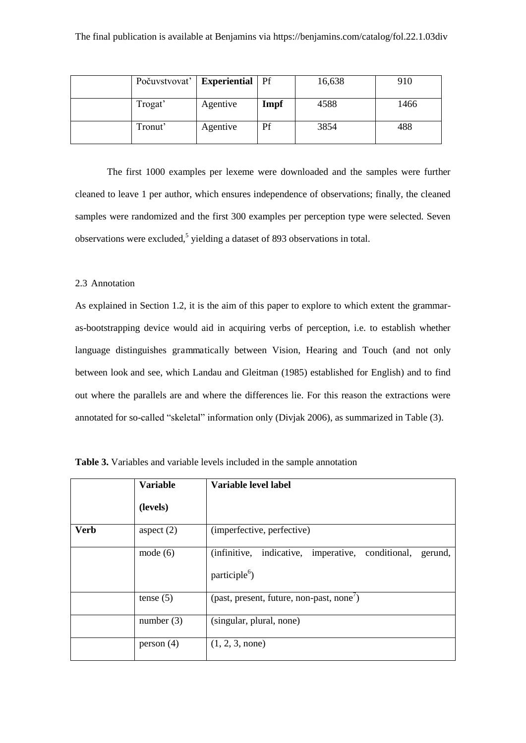| Počuvstvovať   Experiential |          | <b>Pf</b> | 16,638 | 910  |
|-----------------------------|----------|-----------|--------|------|
| Trogat'                     | Agentive | Impf      | 4588   | 1466 |
| Tronut'                     | Agentive | Pf        | 3854   | 488  |

 The first 1000 examples per lexeme were downloaded and the samples were further cleaned to leave 1 per author, which ensures independence of observations; finally, the cleaned samples were randomized and the first 300 examples per perception type were selected. Seven observations were excluded,<sup>5</sup> yielding a dataset of 893 observations in total.

#### 2.3 Annotation

As explained in Section 1.2, it is the aim of this paper to explore to which extent the grammaras-bootstrapping device would aid in acquiring verbs of perception, i.e. to establish whether language distinguishes grammatically between Vision, Hearing and Touch (and not only between look and see, which Landau and Gleitman (1985) established for English) and to find out where the parallels are and where the differences lie. For this reason the extractions were annotated for so-called "skeletal" information only (Divjak 2006), as summarized in Table (3).

|             | <b>Variable</b> | Variable level label                                                                         |
|-------------|-----------------|----------------------------------------------------------------------------------------------|
|             | (levels)        |                                                                                              |
| <b>Verb</b> | aspect $(2)$    | (imperfective, perfective)                                                                   |
|             | mode $(6)$      | (infinitive,<br>indicative, imperative, conditional,<br>gerund,<br>participle <sup>6</sup> ) |
|             | tense $(5)$     | (past, present, future, non-past, none')                                                     |
|             | number $(3)$    | (singular, plural, none)                                                                     |
|             | person $(4)$    | (1, 2, 3, none)                                                                              |

**Table 3.** Variables and variable levels included in the sample annotation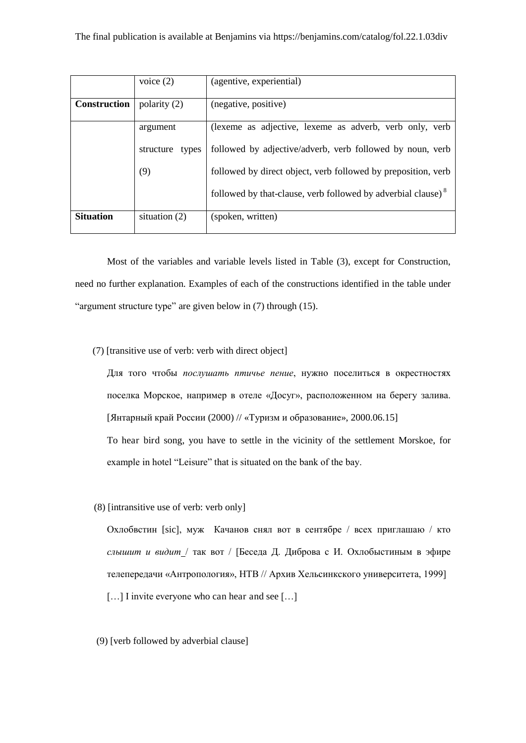|                     | voice $(2)$        | (agentive, experiential)                                                 |
|---------------------|--------------------|--------------------------------------------------------------------------|
|                     |                    |                                                                          |
| <b>Construction</b> | polarity (2)       | (negative, positive)                                                     |
|                     |                    |                                                                          |
|                     | argument           | (lexeme as adjective, lexeme as adverb, verb only, verb                  |
|                     | structure<br>types | followed by adjective/adverb, verb followed by noun, verb                |
|                     | (9)                | followed by direct object, verb followed by preposition, verb            |
|                     |                    | followed by that-clause, verb followed by adverbial clause) <sup>8</sup> |
| <b>Situation</b>    | situation $(2)$    | (spoken, written)                                                        |

Most of the variables and variable levels listed in Table (3), except for Construction, need no further explanation. Examples of each of the constructions identified in the table under "argument structure type" are given below in  $(7)$  through  $(15)$ .

(7) [transitive use of verb: verb with direct object]

Для того чтобы послушать птичье пение, нужно поселиться в окрестностях поселка Морское, например в отеле «Досуг», расположенном на берегу залива. [Янтарный край России (2000) // «Туризм и образование», 2000.06.15] To hear bird song, you have to settle in the vicinity of the settlement Morskoe, for example in hotel "Leisure" that is situated on the bank of the bay.

(8) [intransitive use of verb: verb only]

Охлобвстин [sic], муж Качанов снял вот в сентябре / всех приглашаю / кто слышит и видит / так вот / [Беседа Д. Диброва с И. Охлобыстиным в эфире телепередачи «Антропология», НТВ // Архив Хельсинкского университета, 1999]  $\left[\ldots\right]$  I invite everyone who can hear and see  $\left[\ldots\right]$ 

(9) [verb followed by adverbial clause]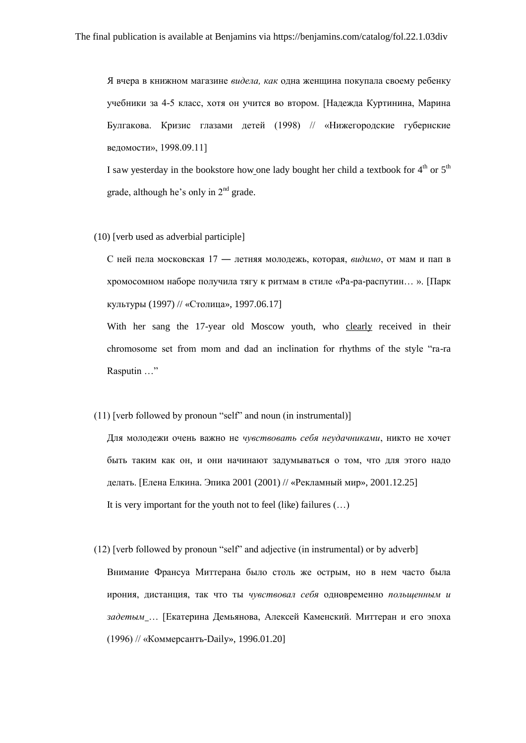Я вчера в книжном магазине видела, как одна женщина покупала своему ребенку vчебники за 4-5 класс, хотя он учится во втором. [Надежда Куртинина, Марина Булгакова. Кризис глазами детей (1998) // «Нижегородские губернские ведомости», 1998.09.111

I saw yesterday in the bookstore how one lady bought her child a textbook for  $4<sup>th</sup>$  or  $5<sup>th</sup>$ grade, although he's only in  $2<sup>nd</sup>$  grade.

 $(10)$  [verb used as adverbial participle]

С ней пела московская 17 — летняя молодежь, которая, видимо, от мам и пап в хромосомном наборе получила тягу к ритмам в стиле «Ра-ра-распутин... ». [Парк культуры (1997) // «Столица», 1997.06.17]

With her sang the 17-year old Moscow youth, who clearly received in their chromosome set from mom and dad an inclination for rhythms of the style "ra-ra" Rasputin ..."

 $(11)$  [verb followed by pronoun "self" and noun (in instrumental)]

Для молодежи очень важно не чувствовать себя неудачниками, никто не хочет быть таким как он, и они начинают задумываться о том, что для этого надо делать. [Елена Елкина. Эпика 2001 (2001) // «Рекламный мир», 2001.12.25] It is very important for the youth not to feel (like) failures  $(\ldots)$ 

(12) [verb followed by pronoun "self" and adjective (in instrumental) or by adverb] Внимание Франсуа Миттерана было столь же острым, но в нем часто была ирония, дистанция, так что ты чувствовал себя одновременно польшенным и задетьим ... [Екатерина Демьянова, Алексей Каменский. Миттеран и его эпоха (1996) // «Коммерсанть-Daily», 1996.01.20]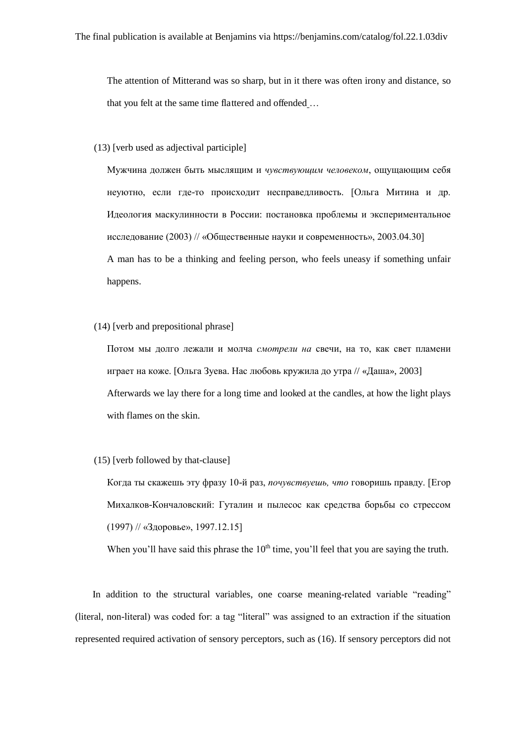The attention of Mitterand was so sharp, but in it there was often irony and distance, so that you felt at the same time flattered and offended …

#### (13) [verb used as adjectival participle]

Мужчина должен быть мыслящим и *чувствующим человеком*, ощущающим себя неуютно, если где-то происходит несправедливость. [Ольга Митина и др. Идеология маскулинности в России: постановка проблемы и экспериментальное исследование (2003) // «Общественные науки и современность», 2003.04.30] A man has to be a thinking and feeling person, who feels uneasy if something unfair happens.

## (14) [verb and prepositional phrase]

Потом мы долго лежали и молча *смотрели на* свечи, на то, как свет пламени играет на коже. [Ольга Зуева. Нас любовь кружила до утра // «Даша», 2003] Afterwards we lay there for a long time and looked at the candles, at how the light plays with flames on the skin.

## (15) [verb followed by that-clause]

Когда ты скажешь эту фразу 10-й раз, *почувствуешь, что* говоришь правду. [Егор Михалков-Кончаловский: Гуталин и пылесос как средства борьбы со стрессом (1997) // «Здоровье», 1997.12.15]

When you'll have said this phrase the  $10<sup>th</sup>$  time, you'll feel that you are saying the truth.

In addition to the structural variables, one coarse meaning-related variable "reading" (literal, non-literal) was coded for: a tag "literal" was assigned to an extraction if the situation represented required activation of sensory perceptors, such as (16). If sensory perceptors did not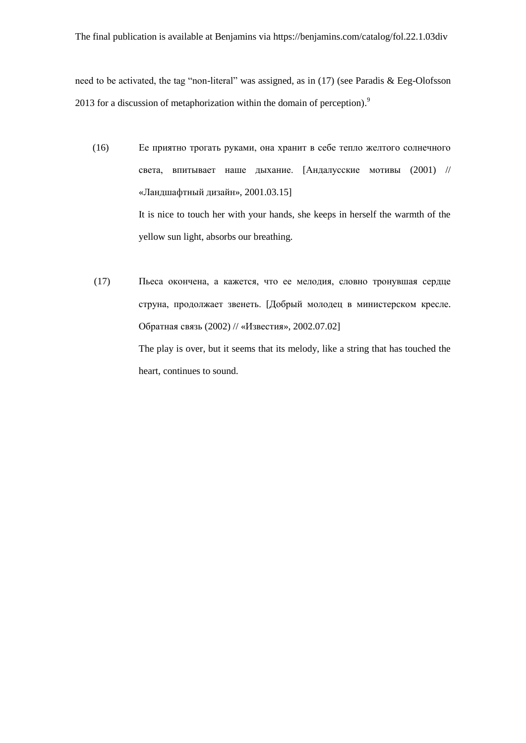need to be activated, the tag "non-literal" was assigned, as in  $(17)$  (see Paradis & Eeg-Olofsson 2013 for a discussion of metaphorization within the domain of perception). $9$ 

- (16) Ее приятно трогать руками, она хранит в себе тепло желтого солнечного света, впитывает наше дыхание. [Андалусские мотивы (2001) // «Ландшафтный дизайн»,  $2001.03.15$ ] It is nice to touch her with your hands, she keeps in herself the warmth of the yellow sun light, absorbs our breathing.
- (17) Пьеса окончена, а кажется, что ее мелодия, словно тронувшая сердце струна, продолжает звенеть. [Добрый молодец в министерском кресле. Обратная связь (2002) // «Известия», 2002.07.02] The play is over, but it seems that its melody, like a string that has touched the heart, continues to sound.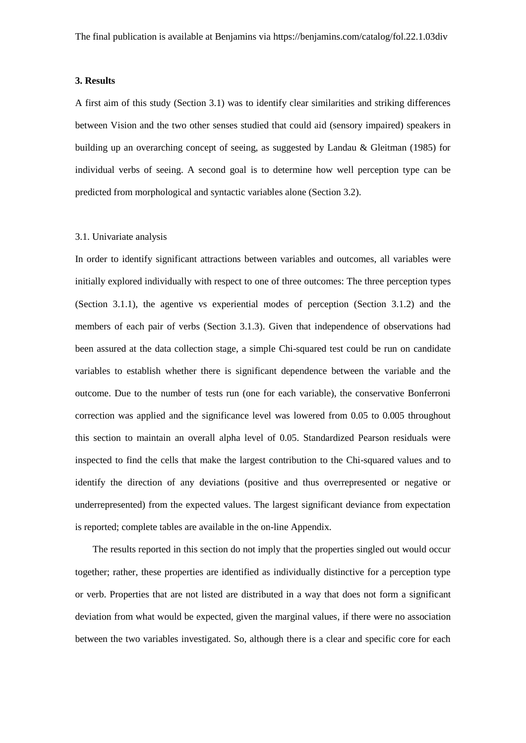#### **3. Results**

A first aim of this study (Section 3.1) was to identify clear similarities and striking differences between Vision and the two other senses studied that could aid (sensory impaired) speakers in building up an overarching concept of seeing, as suggested by Landau & Gleitman (1985) for individual verbs of seeing. A second goal is to determine how well perception type can be predicted from morphological and syntactic variables alone (Section 3.2).

## 3.1. Univariate analysis

In order to identify significant attractions between variables and outcomes, all variables were initially explored individually with respect to one of three outcomes: The three perception types (Section 3.1.1), the agentive vs experiential modes of perception (Section 3.1.2) and the members of each pair of verbs (Section 3.1.3). Given that independence of observations had been assured at the data collection stage, a simple Chi-squared test could be run on candidate variables to establish whether there is significant dependence between the variable and the outcome. Due to the number of tests run (one for each variable), the conservative Bonferroni correction was applied and the significance level was lowered from 0.05 to 0.005 throughout this section to maintain an overall alpha level of 0.05. Standardized Pearson residuals were inspected to find the cells that make the largest contribution to the Chi-squared values and to identify the direction of any deviations (positive and thus overrepresented or negative or underrepresented) from the expected values. The largest significant deviance from expectation is reported; complete tables are available in the on-line Appendix.

The results reported in this section do not imply that the properties singled out would occur together; rather, these properties are identified as individually distinctive for a perception type or verb. Properties that are not listed are distributed in a way that does not form a significant deviation from what would be expected, given the marginal values, if there were no association between the two variables investigated. So, although there is a clear and specific core for each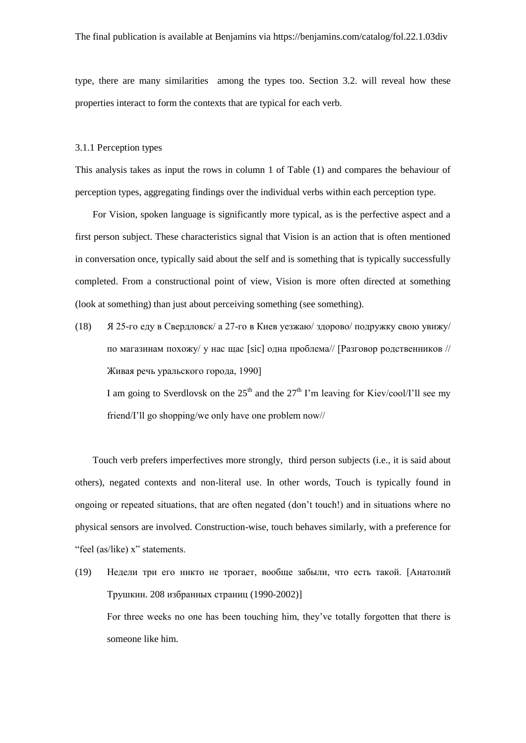type, there are many similarities among the types too. Section 3.2, will reveal how these properties interact to form the contexts that are typical for each verb.

#### 3.1.1 Perception types

This analysis takes as input the rows in column 1 of Table (1) and compares the behaviour of perception types, aggregating findings over the individual verbs within each perception type.

For Vision, spoken language is significantly more typical, as is the perfective aspect and a first person subject. These characteristics signal that Vision is an action that is often mentioned in conversation once, typically said about the self and is something that is typically successfully completed. From a constructional point of view, Vision is more often directed at something (look at something) than just about perceiving something (see something).

Я 25-го еду в Свердловск/ а 27-го в Киев уезжаю/ здорово/ подружку свою увижу/  $(18)$ по магазинам похожу/ у нас шас [sic] одна проблема// [Разговор родственников // Живая речь уральского города, 1990] I am going to Sverdlovsk on the  $25<sup>th</sup>$  and the  $27<sup>th</sup>$  I'm leaving for Kiev/cool/I'll see my

friend/I'll go shopping/we only have one problem now//

Touch verb prefers imperfectives more strongly, third person subjects (i.e., it is said about others), negated contexts and non-literal use. In other words, Touch is typically found in ongoing or repeated situations, that are often negated (don't touch!) and in situations where no physical sensors are involved. Construction-wise, touch behaves similarly, with a preference for "feel (as/like) x" statements.

 $(19)$ Недели три его никто не трогает, вообще забыли, что есть такой. [Анатолий Трушкин. 208 избранных страниц (1990-2002)]

For three weeks no one has been touching him, they've totally forgotten that there is someone like him.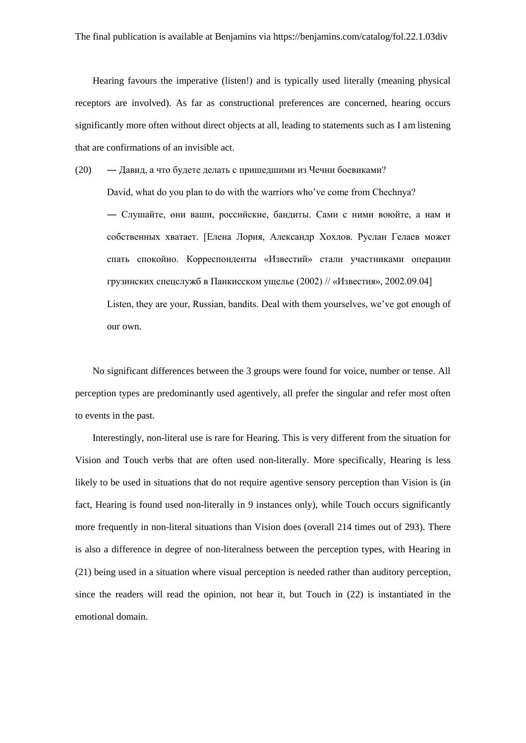Hearing favours the imperative (listen!) and is typically used literally (meaning physical receptors are involved). As far as constructional preferences are concerned, hearing occurs significantly more often without direct objects at all, leading to statements such as I am listening that are confirmations of an invisible act.

- Давид, а что будете делать с пришедшими из Чечни боевиками?  $(20)$ 

> David, what do you plan to do with the warriors who've come from Chechnya? - Слушайте, они ваши, российские, бандиты. Сами с ними воюйте, а нам и собственных хватает. [Елена Лория, Александр Хохлов, Руслан Гелаев может спать спокойно. Корреспонденты «Известий» стали участниками операции грузинских спецслужб в Панкисском ущелье (2002) // «Известия», 2002.09.04] Listen, they are your, Russian, bandits. Deal with them yourselves, we've got enough of our own.

No significant differences between the 3 groups were found for voice, number or tense. All perception types are predominantly used agentively, all prefer the singular and refer most often to events in the past.

Interestingly, non-literal use is rare for Hearing. This is very different from the situation for Vision and Touch verbs that are often used non-literally. More specifically, Hearing is less likely to be used in situations that do not require agentive sensory perception than Vision is (in fact, Hearing is found used non-literally in 9 instances only), while Touch occurs significantly more frequently in non-literal situations than Vision does (overall 214 times out of 293). There is also a difference in degree of non-literalness between the perception types, with Hearing in (21) being used in a situation where visual perception is needed rather than auditory perception, since the readers will read the opinion, not hear it, but Touch in (22) is instantiated in the emotional domain.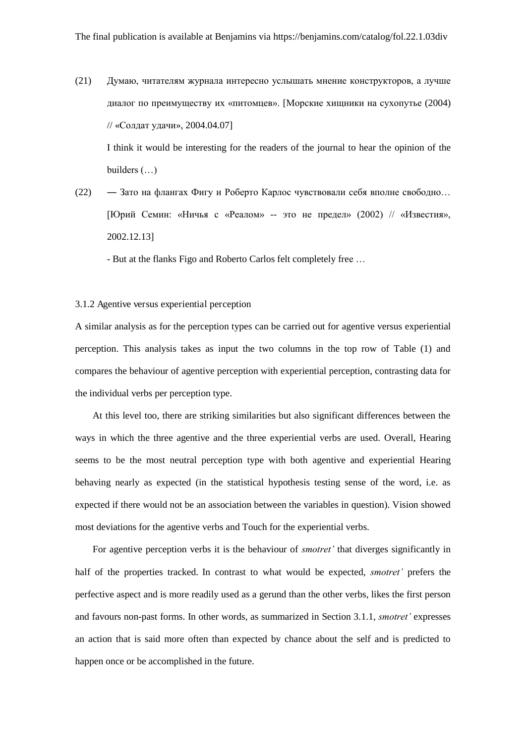$(21)$ Думаю, читателям журнала интересно услышать мнение конструкторов, а лучше диалог по преимуществу их «питомцев». [Морские хищники на сухопутье (2004) // «Солдат удачи», 2004.04.07]

I think it would be interesting for the readers of the journal to hear the opinion of the builders  $(...)$ 

- Зато на флангах Фигу и Роберто Карлос чувствовали себя вполне свободно...  $(22)$ [Юрий Семин: «Ничья с «Реалом» -- это не предел» (2002) // «Известия», 2002.12.131

- But at the flanks Figo and Roberto Carlos felt completely free ...

## 3.1.2 Agentive versus experiential perception

A similar analysis as for the perception types can be carried out for agentive versus experiential perception. This analysis takes as input the two columns in the top row of Table (1) and compares the behaviour of agentive perception with experiential perception, contrasting data for the individual verbs per perception type.

At this level too, there are striking similarities but also significant differences between the ways in which the three agentive and the three experiential verbs are used. Overall, Hearing seems to be the most neutral perception type with both agentive and experiential Hearing behaving nearly as expected (in the statistical hypothesis testing sense of the word, i.e. as expected if there would not be an association between the variables in question). Vision showed most deviations for the agentive verbs and Touch for the experiential verbs.

For agentive perception verbs it is the behaviour of *smotret'* that diverges significantly in half of the properties tracked. In contrast to what would be expected, *smotret'* prefers the perfective aspect and is more readily used as a gerund than the other verbs, likes the first person and favours non-past forms. In other words, as summarized in Section 3.1.1, *smotret'* expresses an action that is said more often than expected by chance about the self and is predicted to happen once or be accomplished in the future.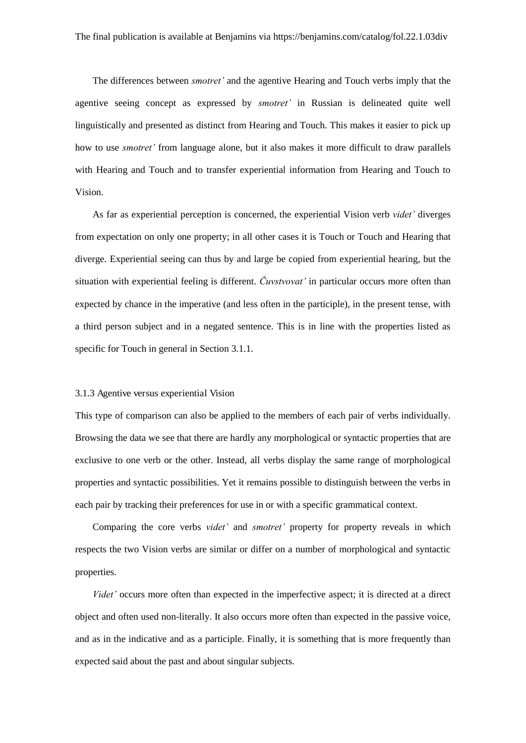The differences between *smotret'* and the agentive Hearing and Touch verbs imply that the agentive seeing concept as expressed by *smotret'* in Russian is delineated quite well linguistically and presented as distinct from Hearing and Touch. This makes it easier to pick up how to use *smotret'* from language alone, but it also makes it more difficult to draw parallels with Hearing and Touch and to transfer experiential information from Hearing and Touch to Vision.

As far as experiential perception is concerned, the experiential Vision verb *videt'* diverges from expectation on only one property; in all other cases it is Touch or Touch and Hearing that diverge. Experiential seeing can thus by and large be copied from experiential hearing, but the situation with experiential feeling is different. *Čuvstvovat'* in particular occurs more often than expected by chance in the imperative (and less often in the participle), in the present tense, with a third person subject and in a negated sentence. This is in line with the properties listed as specific for Touch in general in Section 3.1.1.

## 3.1.3 Agentive versus experiential Vision

This type of comparison can also be applied to the members of each pair of verbs individually. Browsing the data we see that there are hardly any morphological or syntactic properties that are exclusive to one verb or the other. Instead, all verbs display the same range of morphological properties and syntactic possibilities. Yet it remains possible to distinguish between the verbs in each pair by tracking their preferences for use in or with a specific grammatical context.

Comparing the core verbs *videt'* and *smotret'* property for property reveals in which respects the two Vision verbs are similar or differ on a number of morphological and syntactic properties.

*Videt'* occurs more often than expected in the imperfective aspect; it is directed at a direct object and often used non-literally. It also occurs more often than expected in the passive voice, and as in the indicative and as a participle. Finally, it is something that is more frequently than expected said about the past and about singular subjects.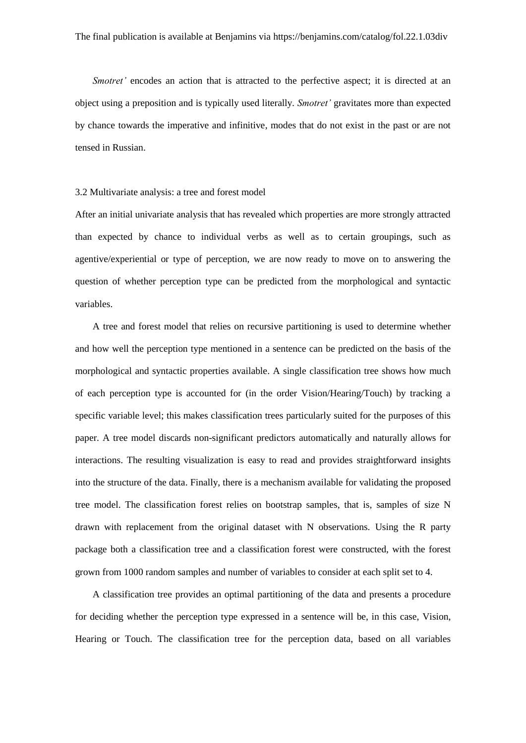*Smotret'* encodes an action that is attracted to the perfective aspect; it is directed at an object using a preposition and is typically used literally. *Smotret'* gravitates more than expected by chance towards the imperative and infinitive, modes that do not exist in the past or are not tensed in Russian.

### 3.2 Multivariate analysis: a tree and forest model

After an initial univariate analysis that has revealed which properties are more strongly attracted than expected by chance to individual verbs as well as to certain groupings, such as agentive/experiential or type of perception, we are now ready to move on to answering the question of whether perception type can be predicted from the morphological and syntactic variables.

A tree and forest model that relies on recursive partitioning is used to determine whether and how well the perception type mentioned in a sentence can be predicted on the basis of the morphological and syntactic properties available. A single classification tree shows how much of each perception type is accounted for (in the order Vision/Hearing/Touch) by tracking a specific variable level; this makes classification trees particularly suited for the purposes of this paper. A tree model discards non-significant predictors automatically and naturally allows for interactions. The resulting visualization is easy to read and provides straightforward insights into the structure of the data. Finally, there is a mechanism available for validating the proposed tree model. The classification forest relies on bootstrap samples, that is, samples of size N drawn with replacement from the original dataset with N observations. Using the R party package both a classification tree and a classification forest were constructed, with the forest grown from 1000 random samples and number of variables to consider at each split set to 4.

A classification tree provides an optimal partitioning of the data and presents a procedure for deciding whether the perception type expressed in a sentence will be, in this case, Vision, Hearing or Touch. The classification tree for the perception data, based on all variables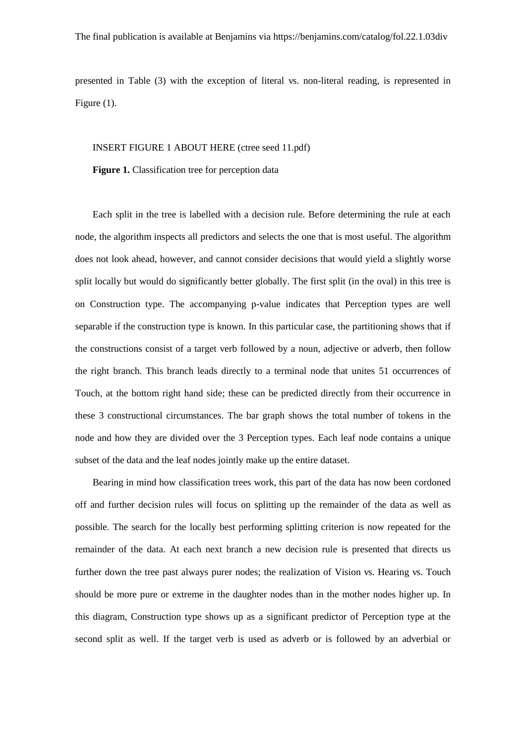presented in Table (3) with the exception of literal vs. non-literal reading, is represented in Figure (1).

#### INSERT FIGURE 1 ABOUT HERE (ctree seed 11.pdf)

**Figure 1.** Classification tree for perception data

Each split in the tree is labelled with a decision rule. Before determining the rule at each node, the algorithm inspects all predictors and selects the one that is most useful. The algorithm does not look ahead, however, and cannot consider decisions that would yield a slightly worse split locally but would do significantly better globally. The first split (in the oval) in this tree is on Construction type. The accompanying p-value indicates that Perception types are well separable if the construction type is known. In this particular case, the partitioning shows that if the constructions consist of a target verb followed by a noun, adjective or adverb, then follow the right branch. This branch leads directly to a terminal node that unites 51 occurrences of Touch, at the bottom right hand side; these can be predicted directly from their occurrence in these 3 constructional circumstances. The bar graph shows the total number of tokens in the node and how they are divided over the 3 Perception types. Each leaf node contains a unique subset of the data and the leaf nodes jointly make up the entire dataset.

Bearing in mind how classification trees work, this part of the data has now been cordoned off and further decision rules will focus on splitting up the remainder of the data as well as possible. The search for the locally best performing splitting criterion is now repeated for the remainder of the data. At each next branch a new decision rule is presented that directs us further down the tree past always purer nodes; the realization of Vision vs. Hearing vs. Touch should be more pure or extreme in the daughter nodes than in the mother nodes higher up. In this diagram, Construction type shows up as a significant predictor of Perception type at the second split as well. If the target verb is used as adverb or is followed by an adverbial or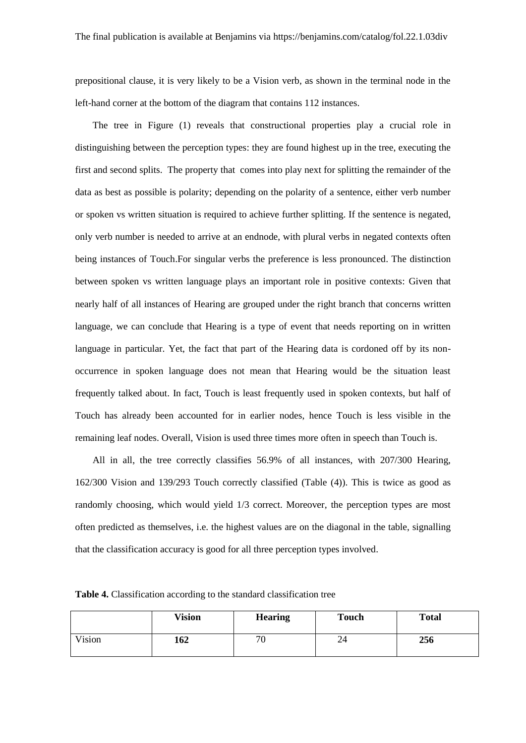prepositional clause, it is very likely to be a Vision verb, as shown in the terminal node in the left-hand corner at the bottom of the diagram that contains 112 instances.

The tree in Figure (1) reveals that constructional properties play a crucial role in distinguishing between the perception types: they are found highest up in the tree, executing the first and second splits. The property that comes into play next for splitting the remainder of the data as best as possible is polarity; depending on the polarity of a sentence, either verb number or spoken vs written situation is required to achieve further splitting. If the sentence is negated, only verb number is needed to arrive at an endnode, with plural verbs in negated contexts often being instances of Touch.For singular verbs the preference is less pronounced. The distinction between spoken vs written language plays an important role in positive contexts: Given that nearly half of all instances of Hearing are grouped under the right branch that concerns written language, we can conclude that Hearing is a type of event that needs reporting on in written language in particular. Yet, the fact that part of the Hearing data is cordoned off by its nonoccurrence in spoken language does not mean that Hearing would be the situation least frequently talked about. In fact, Touch is least frequently used in spoken contexts, but half of Touch has already been accounted for in earlier nodes, hence Touch is less visible in the remaining leaf nodes. Overall, Vision is used three times more often in speech than Touch is.

All in all, the tree correctly classifies 56.9% of all instances, with 207/300 Hearing, 162/300 Vision and 139/293 Touch correctly classified (Table (4)). This is twice as good as randomly choosing, which would yield 1/3 correct. Moreover, the perception types are most often predicted as themselves, i.e. the highest values are on the diagonal in the table, signalling that the classification accuracy is good for all three perception types involved.

|        | <b>Vision</b> | <b>Hearing</b> | <b>Touch</b> | <b>Total</b> |
|--------|---------------|----------------|--------------|--------------|
| Vision | 162           | 70             | 24           | 256          |

**Table 4.** Classification according to the standard classification tree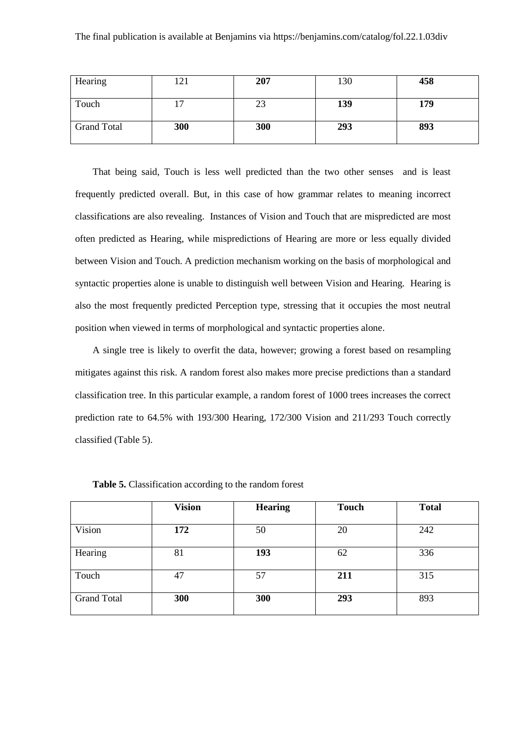The final publication is available at Benjamins via https://benjamins.com/catalog/fol.22.1.03div

| Hearing            | 121 | 207 | 130 | 458 |
|--------------------|-----|-----|-----|-----|
| Touch              |     | 23  | 139 | 179 |
| <b>Grand Total</b> | 300 | 300 | 293 | 893 |

That being said, Touch is less well predicted than the two other senses and is least frequently predicted overall. But, in this case of how grammar relates to meaning incorrect classifications are also revealing. Instances of Vision and Touch that are mispredicted are most often predicted as Hearing, while mispredictions of Hearing are more or less equally divided between Vision and Touch. A prediction mechanism working on the basis of morphological and syntactic properties alone is unable to distinguish well between Vision and Hearing. Hearing is also the most frequently predicted Perception type, stressing that it occupies the most neutral position when viewed in terms of morphological and syntactic properties alone.

A single tree is likely to overfit the data, however; growing a forest based on resampling mitigates against this risk. A random forest also makes more precise predictions than a standard classification tree. In this particular example, a random forest of 1000 trees increases the correct prediction rate to 64.5% with 193/300 Hearing, 172/300 Vision and 211/293 Touch correctly classified (Table 5).

|                    | <b>Vision</b> | <b>Hearing</b> | <b>Touch</b> | <b>Total</b> |
|--------------------|---------------|----------------|--------------|--------------|
| Vision             | 172           | 50             | 20           | 242          |
| Hearing            | 81            | 193            | 62           | 336          |
| Touch              | 47            | 57             | 211          | 315          |
| <b>Grand Total</b> | 300           | 300            | 293          | 893          |

**Table 5.** Classification according to the random forest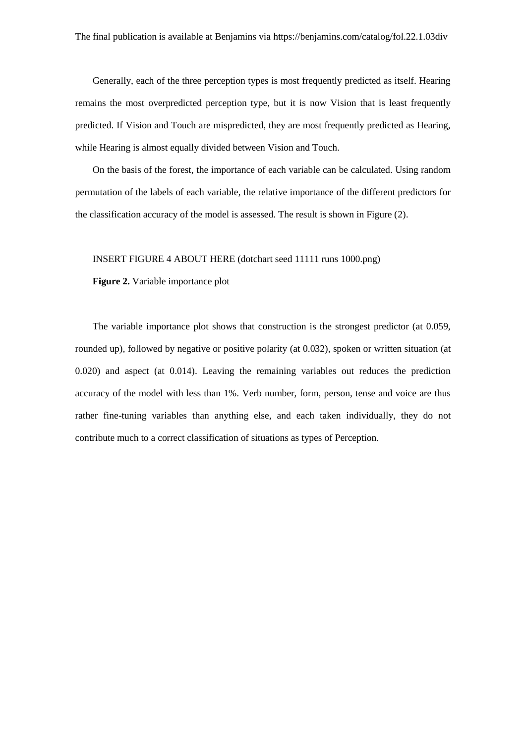Generally, each of the three perception types is most frequently predicted as itself. Hearing remains the most overpredicted perception type, but it is now Vision that is least frequently predicted. If Vision and Touch are mispredicted, they are most frequently predicted as Hearing, while Hearing is almost equally divided between Vision and Touch.

On the basis of the forest, the importance of each variable can be calculated. Using random permutation of the labels of each variable, the relative importance of the different predictors for the classification accuracy of the model is assessed. The result is shown in Figure (2).

INSERT FIGURE 4 ABOUT HERE (dotchart seed 11111 runs 1000.png)

**Figure 2.** Variable importance plot

The variable importance plot shows that construction is the strongest predictor (at 0.059, rounded up), followed by negative or positive polarity (at 0.032), spoken or written situation (at 0.020) and aspect (at 0.014). Leaving the remaining variables out reduces the prediction accuracy of the model with less than 1%. Verb number, form, person, tense and voice are thus rather fine-tuning variables than anything else, and each taken individually, they do not contribute much to a correct classification of situations as types of Perception.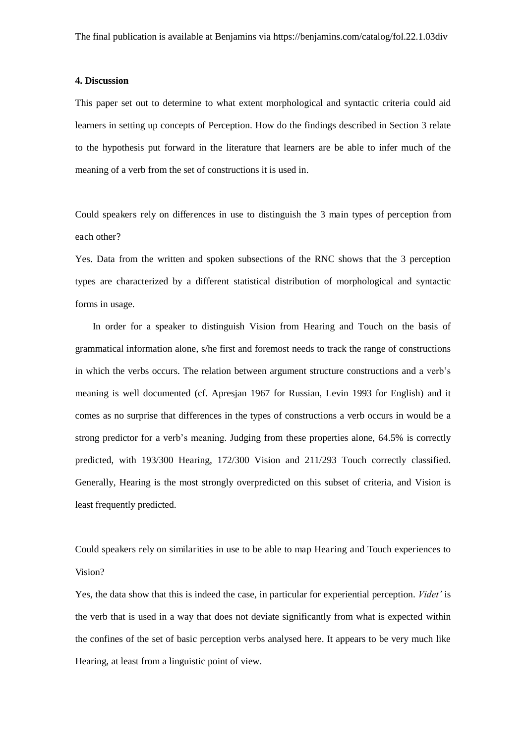## **4. Discussion**

This paper set out to determine to what extent morphological and syntactic criteria could aid learners in setting up concepts of Perception. How do the findings described in Section 3 relate to the hypothesis put forward in the literature that learners are be able to infer much of the meaning of a verb from the set of constructions it is used in.

Could speakers rely on differences in use to distinguish the 3 main types of perception from each other?

Yes. Data from the written and spoken subsections of the RNC shows that the 3 perception types are characterized by a different statistical distribution of morphological and syntactic forms in usage.

In order for a speaker to distinguish Vision from Hearing and Touch on the basis of grammatical information alone, s/he first and foremost needs to track the range of constructions in which the verbs occurs. The relation between argument structure constructions and a verb's meaning is well documented (cf. Apresjan 1967 for Russian, Levin 1993 for English) and it comes as no surprise that differences in the types of constructions a verb occurs in would be a strong predictor for a verb's meaning. Judging from these properties alone, 64.5% is correctly predicted, with 193/300 Hearing, 172/300 Vision and 211/293 Touch correctly classified. Generally, Hearing is the most strongly overpredicted on this subset of criteria, and Vision is least frequently predicted.

Could speakers rely on similarities in use to be able to map Hearing and Touch experiences to Vision?

Yes, the data show that this is indeed the case, in particular for experiential perception. *Videt'* is the verb that is used in a way that does not deviate significantly from what is expected within the confines of the set of basic perception verbs analysed here. It appears to be very much like Hearing, at least from a linguistic point of view.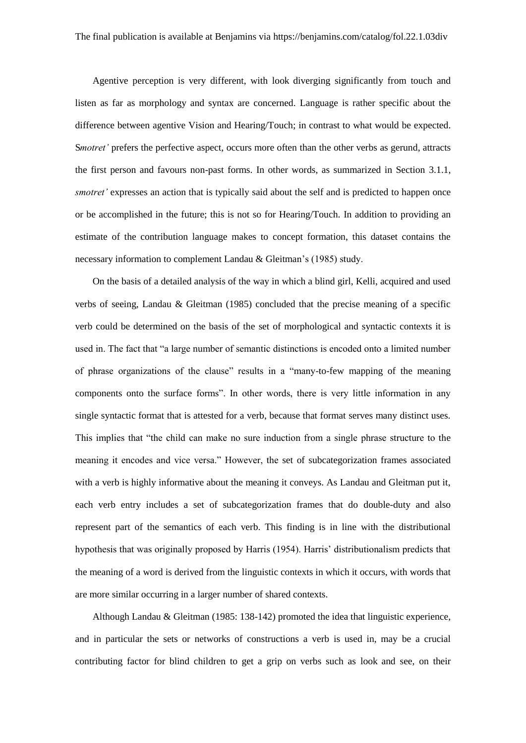Agentive perception is very different, with look diverging significantly from touch and listen as far as morphology and syntax are concerned. Language is rather specific about the difference between agentive Vision and Hearing/Touch; in contrast to what would be expected. Smotret' prefers the perfective aspect, occurs more often than the other verbs as gerund, attracts the first person and favours non-past forms. In other words, as summarized in Section 3.1.1, *smotret'* expresses an action that is typically said about the self and is predicted to happen once or be accomplished in the future; this is not so for Hearing/Touch. In addition to providing an estimate of the contribution language makes to concept formation, this dataset contains the necessary information to complement Landau & Gleitman's (1985) study.

On the basis of a detailed analysis of the way in which a blind girl, Kelli, acquired and used verbs of seeing, Landau & Gleitman (1985) concluded that the precise meaning of a specific verb could be determined on the basis of the set of morphological and syntactic contexts it is used in. The fact that "a large number of semantic distinctions is encoded onto a limited number of phrase organizations of the clause" results in a "many-to-few mapping of the meaning components onto the surface forms". In other words, there is very little information in any single syntactic format that is attested for a verb, because that format serves many distinct uses. This implies that "the child can make no sure induction from a single phrase structure to the meaning it encodes and vice versa." However, the set of subcategorization frames associated with a verb is highly informative about the meaning it conveys. As Landau and Gleitman put it, each verb entry includes a set of subcategorization frames that do double-duty and also represent part of the semantics of each verb. This finding is in line with the distributional hypothesis that was originally proposed by Harris (1954). Harris' distributionalism predicts that the meaning of a word is derived from the linguistic contexts in which it occurs, with words that are more similar occurring in a larger number of shared contexts.

Although Landau & Gleitman  $(1985: 138-142)$  promoted the idea that linguistic experience, and in particular the sets or networks of constructions a verb is used in, may be a crucial contributing factor for blind children to get a grip on verbs such as look and see, on their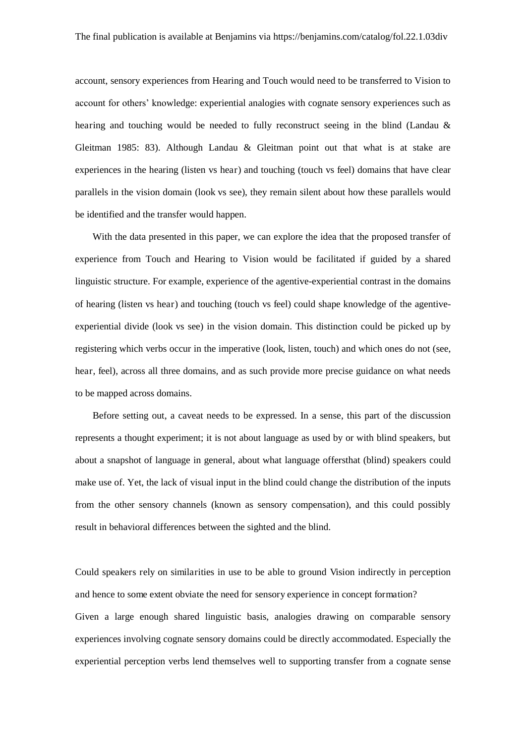account, sensory experiences from Hearing and Touch would need to be transferred to Vision to account for others' knowledge: experiential analogies with cognate sensory experiences such as hearing and touching would be needed to fully reconstruct seeing in the blind (Landau & Gleitman 1985: 83). Although Landau & Gleitman point out that what is at stake are experiences in the hearing (listen vs hear) and touching (touch vs feel) domains that have clear parallels in the vision domain (look vs see), they remain silent about how these parallels would be identified and the transfer would happen.

With the data presented in this paper, we can explore the idea that the proposed transfer of experience from Touch and Hearing to Vision would be facilitated if guided by a shared linguistic structure. For example, experience of the agentive-experiential contrast in the domains of hearing (listen vs hear) and touching (touch vs feel) could shape knowledge of the agentiveexperiential divide (look vs see) in the vision domain. This distinction could be picked up by registering which verbs occur in the imperative (look, listen, touch) and which ones do not (see, hear, feel), across all three domains, and as such provide more precise guidance on what needs to be mapped across domains.

Before setting out, a caveat needs to be expressed. In a sense, this part of the discussion represents a thought experiment; it is not about language as used by or with blind speakers, but about a snapshot of language in general, about what language offersthat (blind) speakers could make use of. Yet, the lack of visual input in the blind could change the distribution of the inputs from the other sensory channels (known as sensory compensation), and this could possibly result in behavioral differences between the sighted and the blind.

Could speakers rely on similarities in use to be able to ground Vision indirectly in perception and hence to some extent obviate the need for sensory experience in concept formation? Given a large enough shared linguistic basis, analogies drawing on comparable sensory experiences involving cognate sensory domains could be directly accommodated. Especially the experiential perception verbs lend themselves well to supporting transfer from a cognate sense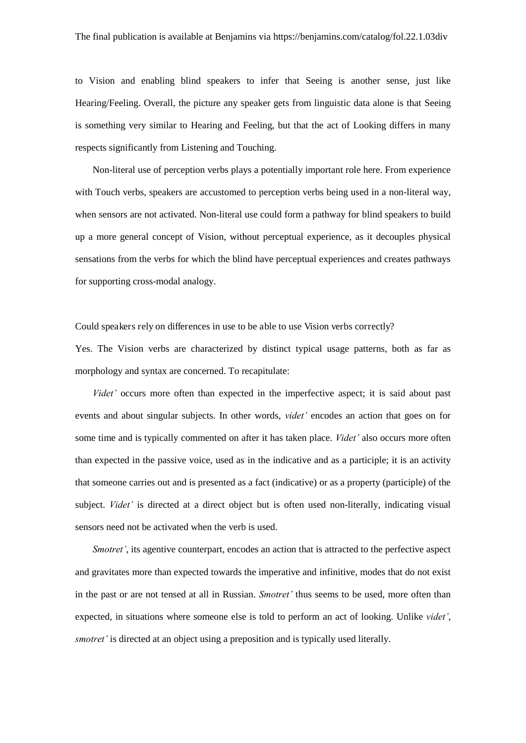to Vision and enabling blind speakers to infer that Seeing is another sense, just like Hearing/Feeling. Overall, the picture any speaker gets from linguistic data alone is that Seeing is something very similar to Hearing and Feeling, but that the act of Looking differs in many respects significantly from Listening and Touching.

Non-literal use of perception verbs plays a potentially important role here. From experience with Touch verbs, speakers are accustomed to perception verbs being used in a non-literal way, when sensors are not activated. Non-literal use could form a pathway for blind speakers to build up a more general concept of Vision, without perceptual experience, as it decouples physical sensations from the verbs for which the blind have perceptual experiences and creates pathways for supporting cross-modal analogy.

Could speakers rely on differences in use to be able to use Vision verbs correctly?

Yes. The Vision verbs are characterized by distinct typical usage patterns, both as far as morphology and syntax are concerned. To recapitulate:

*Videt'* occurs more often than expected in the imperfective aspect; it is said about past events and about singular subjects. In other words, *videt'* encodes an action that goes on for some time and is typically commented on after it has taken place. *Videt'* also occurs more often than expected in the passive voice, used as in the indicative and as a participle; it is an activity that someone carries out and is presented as a fact (indicative) or as a property (participle) of the subject. *Videt'* is directed at a direct object but is often used non-literally, indicating visual sensors need not be activated when the verb is used.

*Smotret'*, its agentive counterpart, encodes an action that is attracted to the perfective aspect and gravitates more than expected towards the imperative and infinitive, modes that do not exist in the past or are not tensed at all in Russian. *Smotret'* thus seems to be used, more often than expected, in situations where someone else is told to perform an act of looking. Unlike *videt'*, *smotret'* is directed at an object using a preposition and is typically used literally.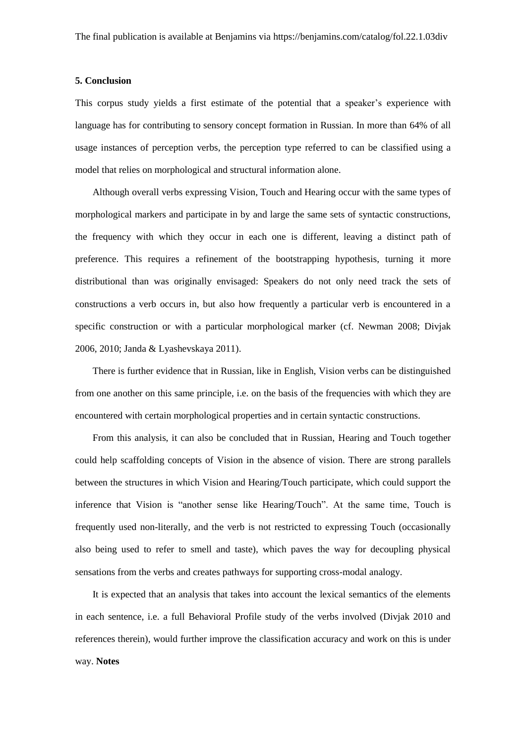## **5. Conclusion**

This corpus study yields a first estimate of the potential that a speaker's experience with language has for contributing to sensory concept formation in Russian. In more than 64% of all usage instances of perception verbs, the perception type referred to can be classified using a model that relies on morphological and structural information alone.

Although overall verbs expressing Vision, Touch and Hearing occur with the same types of morphological markers and participate in by and large the same sets of syntactic constructions, the frequency with which they occur in each one is different, leaving a distinct path of preference. This requires a refinement of the bootstrapping hypothesis, turning it more distributional than was originally envisaged: Speakers do not only need track the sets of constructions a verb occurs in, but also how frequently a particular verb is encountered in a specific construction or with a particular morphological marker (cf. Newman 2008; Divjak 2006, 2010; Janda & Lyashevskaya 2011).

There is further evidence that in Russian, like in English, Vision verbs can be distinguished from one another on this same principle, i.e. on the basis of the frequencies with which they are encountered with certain morphological properties and in certain syntactic constructions.

From this analysis, it can also be concluded that in Russian, Hearing and Touch together could help scaffolding concepts of Vision in the absence of vision. There are strong parallels between the structures in which Vision and Hearing/Touch participate, which could support the inference that Vision is "another sense like Hearing/Touch". At the same time, Touch is frequently used non-literally, and the verb is not restricted to expressing Touch (occasionally also being used to refer to smell and taste), which paves the way for decoupling physical sensations from the verbs and creates pathways for supporting cross-modal analogy.

It is expected that an analysis that takes into account the lexical semantics of the elements in each sentence, i.e. a full Behavioral Profile study of the verbs involved (Divjak 2010 and references therein), would further improve the classification accuracy and work on this is under way. **Notes**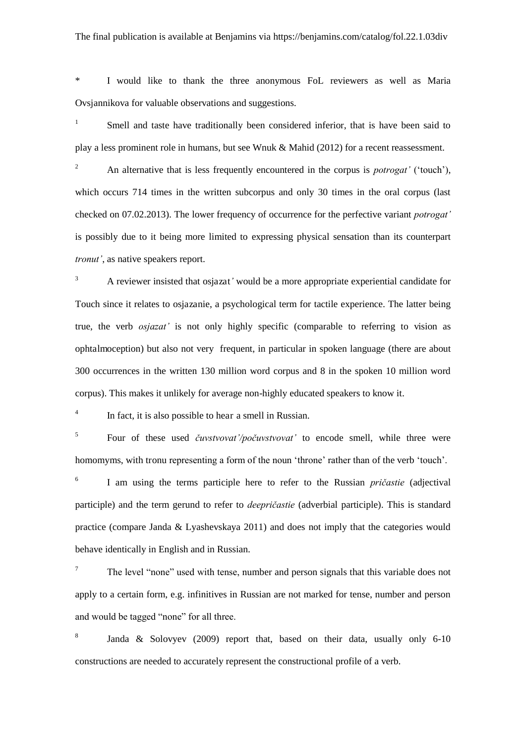\* I would like to thank the three anonymous FoL reviewers as well as Maria Ovsjannikova for valuable observations and suggestions.

1 Smell and taste have traditionally been considered inferior, that is have been said to play a less prominent role in humans, but see Wnuk & Mahid (2012) for a recent reassessment.

<sup>2</sup> An alternative that is less frequently encountered in the corpus is *potrogat'* ('touch'), which occurs 714 times in the written subcorpus and only 30 times in the oral corpus (last checked on 07.02.2013). The lower frequency of occurrence for the perfective variant *potrogat'* is possibly due to it being more limited to expressing physical sensation than its counterpart *tronut'*, as native speakers report.

<sup>3</sup>A reviewer insisted that osjazat*'* would be a more appropriate experiential candidate for Touch since it relates to osjazanie, a psychological term for tactile experience. The latter being true, the verb *osjaгat'* is not only highly specific (comparable to referring to vision as ophtalmoception) but also not very frequent, in particular in spoken language (there are about 300 occurrences in the written 130 million word corpus and 8 in the spoken 10 million word corpus). This makes it unlikely for average non-highly educated speakers to know it.

<sup>4</sup> In fact, it is also possible to hear a smell in Russian.

<sup>5</sup> Four of these used *čuvstvovat'/počuvstvovat'* to encode smell, while three were homomyms, with tronu representing a form of the noun 'throne' rather than of the verb 'touch'.

<sup>6</sup> I am using the terms participle here to refer to the Russian *pričastie* (adjectival participle) and the term gerund to refer to *deepričastie* (adverbial participle). This is standard practice (compare Janda & Lyashevskaya 2011) and does not imply that the categories would behave identically in English and in Russian.

 $\frac{7}{100}$  The level "none" used with tense, number and person signals that this variable does not apply to a certain form, e.g. infinitives in Russian are not marked for tense, number and person and would be tagged "none" for all three.

<sup>8</sup> Janda & Solovyev (2009) report that, based on their data, usually only 6-10 constructions are needed to accurately represent the constructional profile of a verb.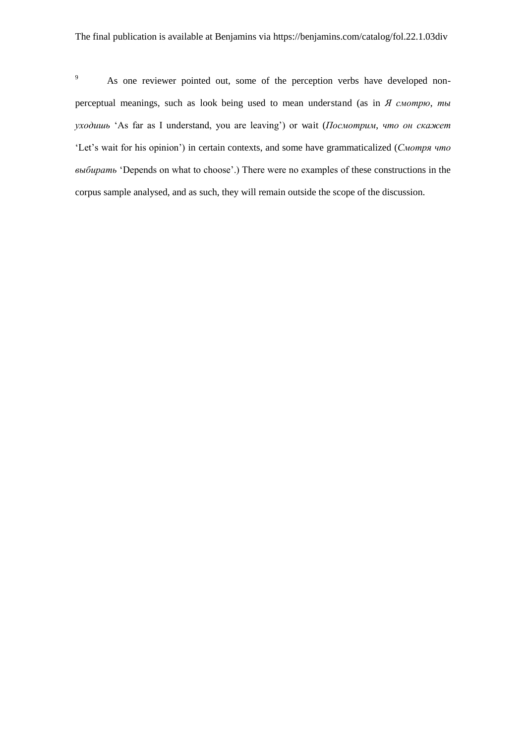$\overline{9}$ As one reviewer pointed out, some of the perception verbs have developed nonperceptual meanings, such as look being used to mean understand (as in  $\hat{H}$  *cMompio, mbl* уходишь 'As far as I understand, you are leaving') or wait (Посмотрим, что он скажет 'Let's wait for his opinion') in certain contexts, and some have grammaticalized (CMOMPA umo выбирать 'Depends on what to choose'.) There were no examples of these constructions in the corpus sample analysed, and as such, they will remain outside the scope of the discussion.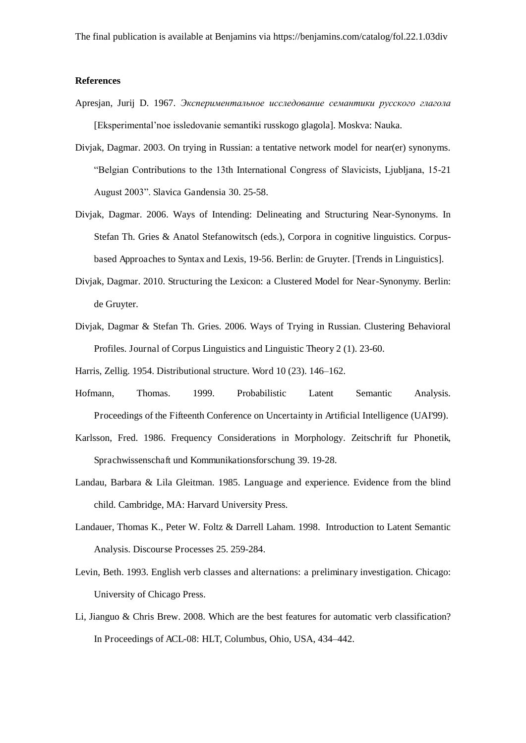#### **References**

- Apresjan, Jurij D. 1967. Экспериментальное исследование семантики русского глагола [Eksperimental'noe issledovanie semantiki russkogo glagola]. Moskva: Nauka.
- Divjak, Dagmar. 2003. On trying in Russian: a tentative network model for near(er) synonyms. "Belgian Contributions to the 13th International Congress of Slavicists, Ljubljana, 15-21 August 2003". Slavica Gandensia 30. 25-58.
- Divjak, Dagmar. 2006. Ways of Intending: Delineating and Structuring Near-Synonyms. In Stefan Th. Gries & Anatol Stefanowitsch (eds.), Corpora in cognitive linguistics. Corpusbased Approaches to Syntax and Lexis, 19-56. Berlin: de Gruyter. [Trends in Linguistics].
- Divjak, Dagmar. 2010. Structuring the Lexicon: a Clustered Model for Near-Synonymy. Berlin: de Gruyter.
- Divjak, Dagmar & Stefan Th. Gries. 2006. Ways of Trying in Russian. Clustering Behavioral Profiles. Journal of Corpus Linguistics and Linguistic Theory 2 (1). 23-60.
- Harris, Zellig. 1954. Distributional structure. Word 10 (23). 146–162.
- Hofmann, Thomas. 1999. Probabilistic Latent Semantic Analysis. Proceedings of the Fifteenth Conference on Uncertainty in Artificial Intelligence (UAI'99).
- Karlsson, Fred. 1986. Frequency Considerations in Morphology. Zeitschrift fur Phonetik, Sprachwissenschaft und Kommunikationsforschung 39. 19-28.
- Landau, Barbara & Lila Gleitman. 1985. Language and experience. Evidence from the blind child. Cambridge, MA: Harvard University Press.
- Landauer, Thomas K., Peter W. Foltz & Darrell Laham. 1998. Introduction to Latent Semantic Analysis. Discourse Processes 25. 259-284.
- Levin, Beth. 1993. English verb classes and alternations: a preliminary investigation. Chicago: University of Chicago Press.
- Li, Jianguo & Chris Brew. 2008. Which are the best features for automatic verb classification? In Proceedings of ACL-08: HLT, Columbus, Ohio, USA, 434–442.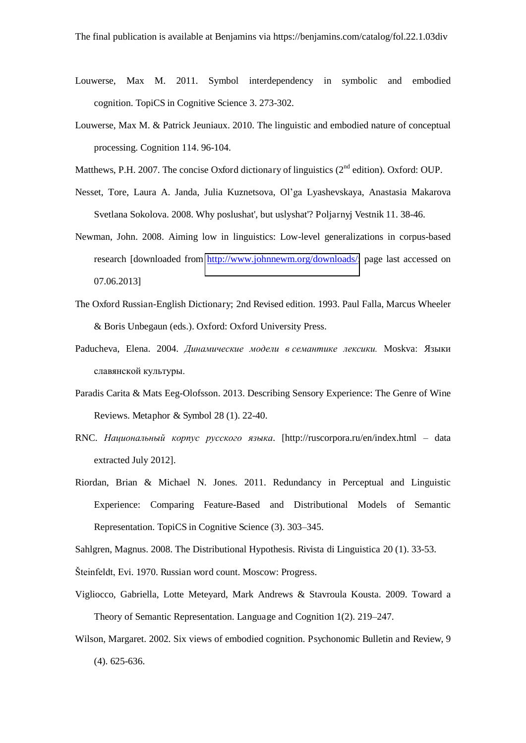- Louwerse, Max M. 2011. Symbol interdependency in symbolic and embodied cognition. TopiCS in Cognitive Science 3. 273-302.
- Louwerse, Max M. & Patrick Jeuniaux. 2010. The linguistic and embodied nature of conceptual processing. Cognition 114. 96-104.
- Matthews, P.H. 2007. The concise Oxford dictionary of linguistics (2<sup>nd</sup> edition). Oxford: OUP.
- Nesset, Tore, Laura A. Janda, Julia Kuznetsova, Ol'ga Lyashevskaya, Anastasia Makarova Svetlana Sokolova. 2008. Why poslushat', but uslyshat'? Poljarnyj Vestnik 11. 38-46.
- Newman, John. 2008. Aiming low in linguistics: Low-level generalizations in corpus-based research [downloaded from http://www.johnnewm.org/downloads/; page last accessed on 07.06.2013]
- The Oxford Russian-English Dictionary; 2nd Revised edition. 1993. Paul Falla, Marcus Wheeler & Boris Unbegaun (eds.). Oxford: Oxford University Press.
- Paducheva, Elena. 2004. Динамические модели в семантике лексики. Moskva: Языки славянской культуры.
- Paradis Carita & Mats Eeg-Olofsson. 2013. Describing Sensory Experience: The Genre of Wine Reviews. Metaphor & Symbol 28 (1). 22-40.
- RNC. Национальный корпус русского языка. [http://ruscorpora.ru/en/index.html data extracted July 2012].
- Riordan, Brian & Michael N. Jones. 2011. Redundancy in Perceptual and Linguistic Experience: Comparing Feature-Based and Distributional Models of Semantic Representation. TopiCS in Cognitive Science (3), 303–345.

Sahlgren, Magnus. 2008. The Distributional Hypothesis. Rivista di Linguistica 20 (1). 33-53.

- Šteinfeldt, Evi. 1970. Russian word count. Moscow: Progress.
- Vigliocco, Gabriella, Lotte Meteyard, Mark Andrews & Stavroula Kousta. 2009. Toward a Theory of Semantic Representation. Language and Cognition 1(2). 219–247.
- Wilson, Margaret. 2002. Six views of embodied cognition. Psychonomic Bulletin and Review, 9  $(4)$ . 625-636.